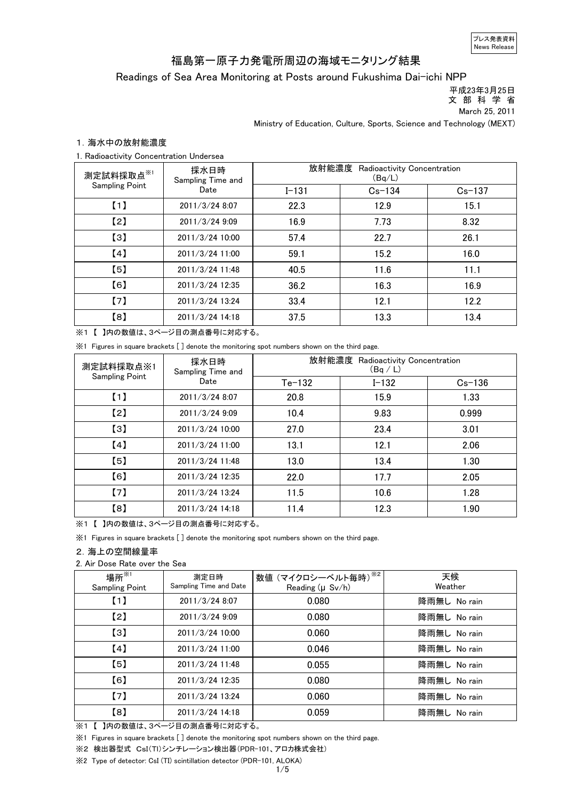プレス発表資料 News Release

# 福島第一原子力発電所周辺の海域モニタリング結果

Readings of Sea Area Monitoring at Posts around Fukushima Dai-ichi NPP

 平成23年3月25日 文 部 科 学 省

March 25, 2011

Ministry of Education, Culture, Sports, Science and Technology (MEXT)

## 1.海水中の放射能濃度

### 1. Radioactivity Concentration Undersea

| 測定試料採取点※1<br><b>Sampling Point</b> | 採水日時<br>Sampling Time and<br>Date | 放射能濃度<br>Radioactivity Concentration<br>(Bq/L) |            |          |  |
|------------------------------------|-----------------------------------|------------------------------------------------|------------|----------|--|
|                                    |                                   | $I - 131$                                      | $Cs - 134$ | $Cs-137$ |  |
| (1)                                | 2011/3/24 8:07                    | 22.3                                           | 12.9       | 15.1     |  |
| [2]                                | 2011/3/24 9:09                    | 16.9                                           | 7.73       | 8.32     |  |
| $\left[3\right]$                   | 2011/3/24 10:00                   | 57.4                                           | 22.7       | 26.1     |  |
| [4]                                | 2011/3/24 11:00                   | 59.1                                           | 15.2       | 16.0     |  |
| $\left[5\right]$                   | 2011/3/24 11:48                   | 40.5                                           | 11.6       | 11.1     |  |
| [6]                                | 2011/3/24 12:35                   | 36.2                                           | 16.3       | 16.9     |  |
| (7)                                | 2011/3/24 13:24                   | 33.4                                           | 12.1       | 12.2     |  |
| [8]                                | 2011/3/24 14:18                   | 37.5                                           | 13.3       | 13.4     |  |

※1 【 】内の数値は、3ページ目の測点番号に対応する。

※1 Figures in square brackets [ ] denote the monitoring spot numbers shown on the third page.

| 測定試料採取点※1             | 採水日時<br>Sampling Time and<br>Date | 放射能濃度<br>Radioactivity Concentration<br>(Bq/L) |           |            |  |
|-----------------------|-----------------------------------|------------------------------------------------|-----------|------------|--|
| <b>Sampling Point</b> |                                   | $Te-132$                                       | $I - 132$ | $Cs - 136$ |  |
| (1)                   | 2011/3/24 8:07                    | 20.8                                           | 15.9      | 1.33       |  |
| [2]                   | 2011/3/24 9:09                    | 10.4                                           | 9.83      | 0.999      |  |
| $\left[3\right]$      | 2011/3/24 10:00                   | 27.0                                           | 23.4      | 3.01       |  |
| (4)                   | 2011/3/24 11:00                   | 13.1                                           | 12.1      | 2.06       |  |
| $\left[5\right]$      | 2011/3/24 11:48                   | 13.0                                           | 13.4      | 1.30       |  |
| [6]                   | 2011/3/24 12:35                   | 22.0                                           | 17.7      | 2.05       |  |
| (7)                   | 2011/3/24 13:24                   | 11.5                                           | 10.6      | 1.28       |  |
| [8]                   | 2011/3/24 14:18                   | 11.4                                           | 12.3      | 1.90       |  |

※1 【 】内の数値は、3ページ目の測点番号に対応する。

※1 Figures in square brackets [ ] denote the monitoring spot numbers shown on the third page.

#### 2.海上の空間線量率

2. Air Dose Rate over the Sea

| 場所 $^{\times 1}$<br><b>Sampling Point</b> | 測定日時<br>Sampling Time and Date | 数値 (マイクロシーベルト毎時) ※2<br>Reading (µ Sv/h) | 天候<br>Weather |
|-------------------------------------------|--------------------------------|-----------------------------------------|---------------|
| (1)                                       | 2011/3/24 8:07                 | 0.080                                   | 降雨無し No rain  |
| $\left[2\right]$                          | 2011/3/24 9:09                 | 0.080                                   | 降雨無し No rain  |
| $\left[3\right]$                          | 2011/3/24 10:00                | 0.060                                   | 降雨無し No rain  |
| [4]                                       | 2011/3/24 11:00                | 0.046                                   | 降雨無し No rain  |
| (5)                                       | 2011/3/24 11:48                | 0.055                                   | 降雨無し No rain  |
| [6]                                       | 2011/3/24 12:35                | 0.080                                   | 降雨無し No rain  |
| (7)                                       | 2011/3/24 13:24                | 0.060                                   | 降雨無し No rain  |
| [8]                                       | 2011/3/24 14:18                | 0.059                                   | 降雨無し No rain  |

※1 【 】内の数値は、3ページ目の測点番号に対応する。

※1 Figures in square brackets [ ] denote the monitoring spot numbers shown on the third page.

※2 検出器型式 CsI(Tl)シンチレーション検出器(PDR-101、アロカ株式会社)

※2 Type of detector: CsI (TI) scintillation detector (PDR-101, ALOKA)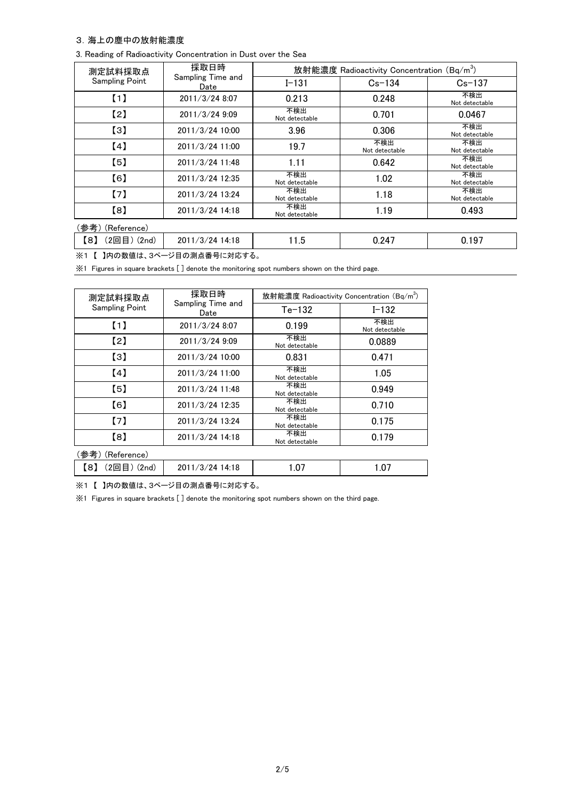#### 3.海上の塵中の放射能濃度

|  |  |  |  | 3. Reading of Radioactivity Concentration in Dust over the Sea |  |  |  |  |  |
|--|--|--|--|----------------------------------------------------------------|--|--|--|--|--|
|--|--|--|--|----------------------------------------------------------------|--|--|--|--|--|

| 測定試料採取点                              | 採取日時                      | 放射能濃度 Radioactivity Concentration (Bq/m <sup>3</sup> ) |                       |                       |  |
|--------------------------------------|---------------------------|--------------------------------------------------------|-----------------------|-----------------------|--|
| <b>Sampling Point</b>                | Sampling Time and<br>Date | $I - 131$                                              | $Cs - 134$            | $Cs - 137$            |  |
| (1)                                  | 2011/3/24 8:07            | 0.213                                                  | 0.248                 | 不検出<br>Not detectable |  |
| $\left[2\right]$                     | 2011/3/24 9:09            | 不検出<br>Not detectable                                  | 0.701                 | 0.0467                |  |
| $\left[3\right]$                     | 2011/3/24 10:00           | 3.96                                                   | 0.306                 | 不検出<br>Not detectable |  |
| (4)                                  | 2011/3/24 11:00           | 19.7                                                   | 不検出<br>Not detectable | 不検出<br>Not detectable |  |
| $\left[5\right]$                     | 2011/3/24 11:48           | 1.11                                                   | 0.642                 | 不検出<br>Not detectable |  |
| [6]                                  | 2011/3/24 12:35           | 不検出<br>Not detectable                                  | 1.02                  | 不検出<br>Not detectable |  |
| (7)                                  | 2011/3/24 13:24           | 不検出<br>Not detectable                                  | 1.18                  | 不検出<br>Not detectable |  |
| [8]                                  | 2011/3/24 14:18           | 不検出<br>Not detectable                                  | 1.19                  | 0.493                 |  |
| (参考)<br>(Reference)                  |                           |                                                        |                       |                       |  |
| $(2 \boxdot \boxdot)$ $(2nd)$<br>【8】 | 2011/3/24 14:18           | 11.5                                                   | 0.247                 | 0.197                 |  |

※1 【 】内の数値は、3ページ目の測点番号に対応する。

※1 Figures in square brackets [ ] denote the monitoring spot numbers shown on the third page.

| 測定試料採取点               | 採取日時                      | 放射能濃度 Radioactivity Concentration (Bq/m <sup>3</sup> ) |                       |  |  |
|-----------------------|---------------------------|--------------------------------------------------------|-----------------------|--|--|
| <b>Sampling Point</b> | Sampling Time and<br>Date | $Te-132$                                               | $I - 132$             |  |  |
| (1)                   | 2011/3/24 8:07            | 0.199                                                  | 不検出<br>Not detectable |  |  |
| $\left[2\right]$      | 2011/3/24 9:09            | 不検出<br>Not detectable                                  | 0.0889                |  |  |
| $\left[3\right]$      | 2011/3/24 10:00           | 0.831                                                  | 0.471                 |  |  |
| [4]                   | 2011/3/24 11:00           | 不検出<br>Not detectable                                  | 1.05                  |  |  |
| (5)                   | 2011/3/24 11:48           | 不検出<br>Not detectable                                  | 0.949                 |  |  |
| (6)                   | 2011/3/24 12:35           | 不検出<br>Not detectable                                  | 0.710                 |  |  |
| (7)                   | 2011/3/24 13:24           | 不検出<br>Not detectable                                  | 0.175                 |  |  |
| [8]                   | 2011/3/24 14:18           | 不検出<br>Not detectable                                  | 0.179                 |  |  |
| (参考)(Reference)       |                           |                                                        |                       |  |  |
| 【8】<br>(2回目) (2nd)    | 2011/3/24 14:18           | 1.07                                                   | 1.07                  |  |  |

※1 【 】内の数値は、3ページ目の測点番号に対応する。

※1 Figures in square brackets [ ] denote the monitoring spot numbers shown on the third page.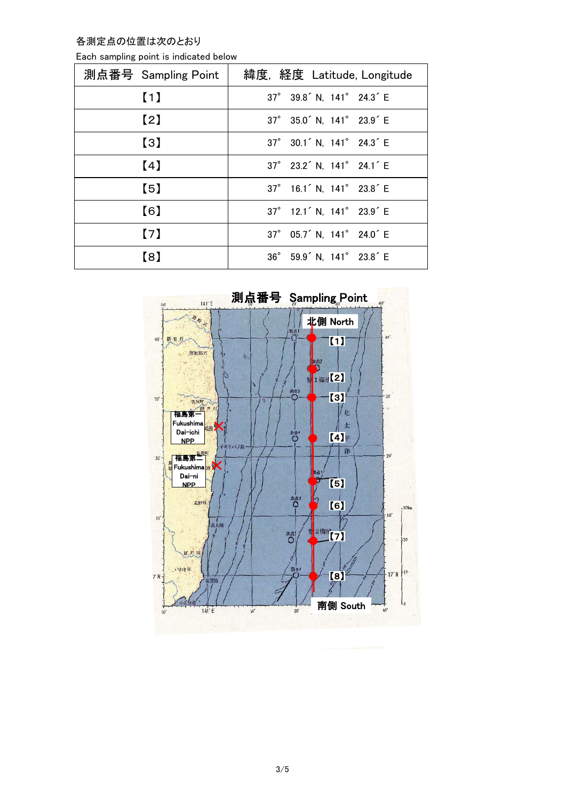各測定点の位置は次のとおり

| Each sampling point is indicated below |  |  |  |
|----------------------------------------|--|--|--|
|----------------------------------------|--|--|--|

| 測点番号 Sampling Point | 緯度, 経度 Latitude, Longitude                        |
|---------------------|---------------------------------------------------|
| $\blacksquare$      | 37° 39.8 <sup>'</sup> N, 141° 24.3 <sup>'</sup> E |
| $\left[2\right]$    | 37° 35.0 <sup>'</sup> N, 141° 23.9 <sup>'</sup> E |
| $\left[3\right]$    | 37° 30.1 <sup>'</sup> N, 141° 24.3 <sup>'</sup> E |
| (4)                 | 37° 23.2 <sup>'</sup> N, 141° 24.1 <sup>'</sup> E |
| $\left[ 5\right]$   | 37° 16.1 <sup>'</sup> N, 141° 23.8 <sup>'</sup> E |
| [6]                 | 37° 12.1 <sup>'</sup> N, 141° 23.9 <sup>'</sup> E |
| (7)                 | 37° 05.7 <sup>'</sup> N, 141° 24.0 <sup>'</sup> E |
| [8]                 | 36° 59.9 <sup>'</sup> N, 141° 23.8 <sup>'</sup> E |

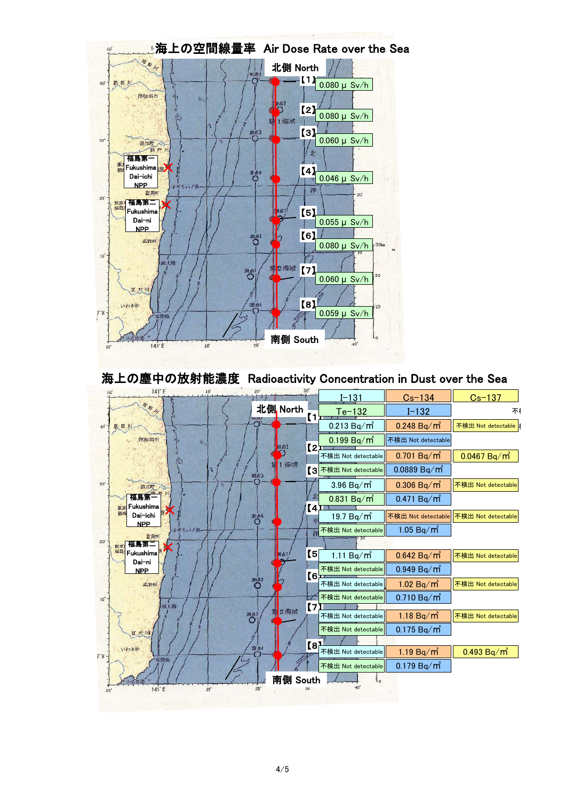

海上の塵中の放射能濃度 Radioactivity Concentration in Dust over the Sea